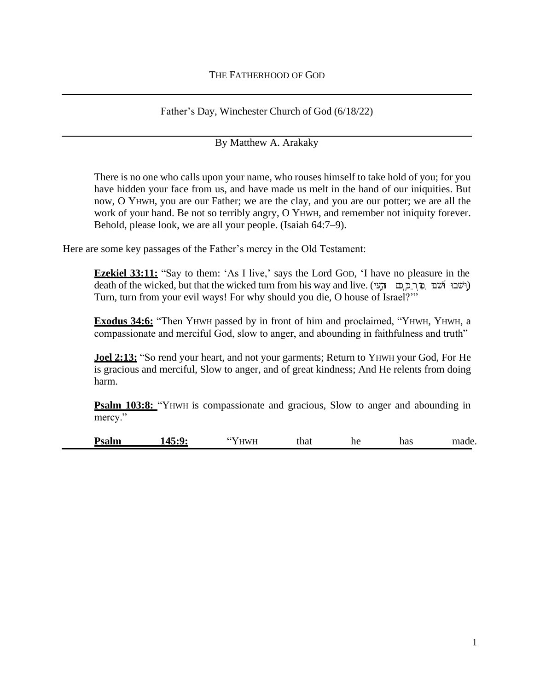Father's Day, Winchester Church of God (6/18/22)

By Matthew A. Arakaky

There is no one who calls upon your name, who rouses himself to take hold of you; for you have hidden your face from us, and have made us melt in the hand of our iniquities. But now, O YHWH, you are our Father; we are the clay, and you are our potter; we are all the work of your hand. Be not so terribly angry, O YHWH, and remember not iniquity forever. Behold, please look, we are all your people. (Isaiah 64:7–9).

Here are some key passages of the Father's mercy in the Old Testament:

**Ezekiel 33:11:** "Say to them: 'As I live,' says the Lord God, 'I have no pleasure in the death of the wicked, but that the wicked turn from his way and live. (וֹשׁבוּ הְשׁׁם ְ כַּרְ כַּ כֵּם וּ הָעִי Turn, turn from your evil ways! For why should you die, O house of Israel?'"

**Exodus 34:6:** "Then YHWH passed by in front of him and proclaimed, "YHWH, YHWH, a compassionate and merciful God, slow to anger, and abounding in faithfulness and truth"

**Joel 2:13:** "So rend your heart, and not your garments; Return to YHWH your God, For He is gracious and merciful, Slow to anger, and of great kindness; And He relents from doing harm.

**Psalm 103:8:** "YHWH is compassionate and gracious, Slow to anger and abounding in mercy."

**Psalm 145:9:** "YHWH that he has made.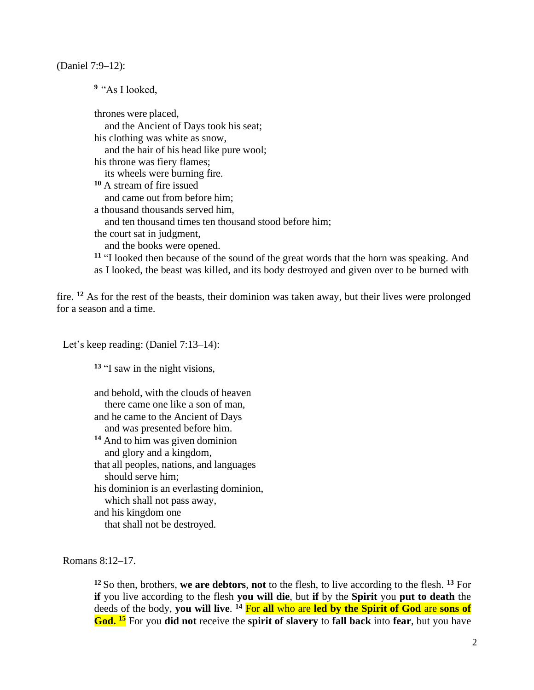(Daniel 7:9–12):

**<sup>9</sup>** "As I looked,

thrones were placed, and the Ancient of Days took his seat; his clothing was white as snow, and the hair of his head like pure wool; his throne was fiery flames; its wheels were burning fire. **<sup>10</sup>** A stream of fire issued and came out from before him; a thousand thousands served him, and ten thousand times ten thousand stood before him; the court sat in judgment, and the books were opened. **<sup>11</sup>** "I looked then because of the sound of the great words that the horn was speaking. And as I looked, the beast was killed, and its body destroyed and given over to be burned with

fire. **<sup>12</sup>** As for the rest of the beasts, their dominion was taken away, but their lives were prolonged for a season and a time.

Let's keep reading: (Daniel 7:13–14):

**<sup>13</sup>** "I saw in the night visions,

and behold, with the clouds of heaven there came one like a son of man, and he came to the Ancient of Days and was presented before him. **<sup>14</sup>** And to him was given dominion and glory and a kingdom, that all peoples, nations, and languages should serve him; his dominion is an everlasting dominion, which shall not pass away, and his kingdom one that shall not be destroyed.

Romans 8:12–17.

**<sup>12</sup>**So then, brothers, **we are debtors**, **not** to the flesh, to live according to the flesh. **<sup>13</sup>** For **if** you live according to the flesh **you will die**, but **if** by the **Spirit** you **put to death** the deeds of the body, **you will live**. **<sup>14</sup>** For **all** who are **led by the Spirit of God** are **sons of God. <sup>15</sup>** For you **did not** receive the **spirit of slavery** to **fall back** into **fear**, but you have